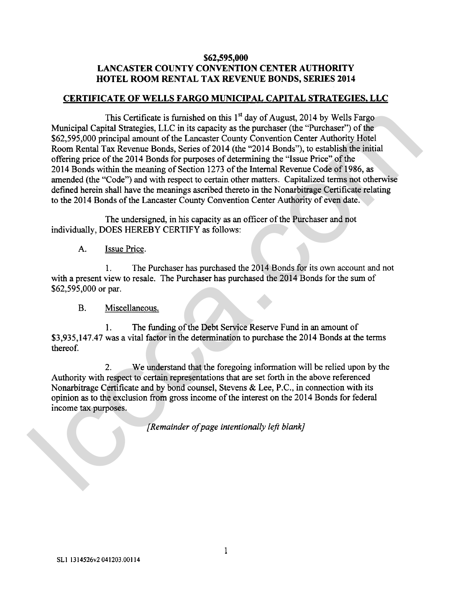## **\$62,595,000 LANCASTER COUNTY CONVENTION CENTER AUTHORITY HOTEL ROOM RENTAL TAX REVENUE BONDS, SERIES 2014**

## **CERTIFICATE OF WELLS FARGO MUNICIPAL CAPITAL STRATEGIES, LLC**

This Certificate is furnished on this  $1<sup>st</sup>$  day of August, 2014 by Wells Fargo Municipal Capital Strategies, LLC in its capacity as the purchaser (the "Purchaser") of the \$62,595,000 principal amount of the Lancaster County Convention Center Authority Hotel Room Rental Tax Revenue Bonds, Series of 2014 (the "2014 Bonds"), to establish the initial offering price of the 2014 Bonds for purposes of determining the "Issue Price" of the 2014 Bonds within the meaning of Section 1273 of the Internal Revenue Code of 1986, as amended (the "Code") and with respect to certain other matters. Capitalized terms not otherwise defined herein shall have the meanings ascribed thereto in the Nonarbitrage Certificate relating to the 2014 Bonds of the Lancaster County Convention Center Authority of even date. This Certificate is formisted on this <sup>14</sup> at of Angust, 2014 by Wells Firspy (2014) and 15 amplies the parameter Courty Covernic Action Results Room Renal Tax Revenue Bonds, Series of 2014 (the "2014 Bonds"), to establis

The undersigned, in his capacity as an officer of the Purchaser and not individually, DOES HEREBY CERTIFY as follows:

## A. Issue Price.

1. The Purchaser has purchased the 2014 Bonds for its own account and not with a present view to resale. The Purchaser has purchased the 2014 Bonds for the sum of \$62,595,000 or par.

## B. Miscellaneous.

1. The funding of the Debt Service Reserve Fund in an amount of \$3,935,147.47 was a vital factor in the determination to purchase the 2014 Bonds at the terms thereof.

2. We understand that the foregoing information will be relied upon by the Authority with respect to certain representations that are set forth in the above referenced Nonarbitrage Certificate and by bond counsel, Stevens & Lee, P.C., in connection with its opinion as to the exclusion from gross income of the interest on the 20 14 Bonds for federal income tax purposes.

*[Remainder of page intentionally left blank]*